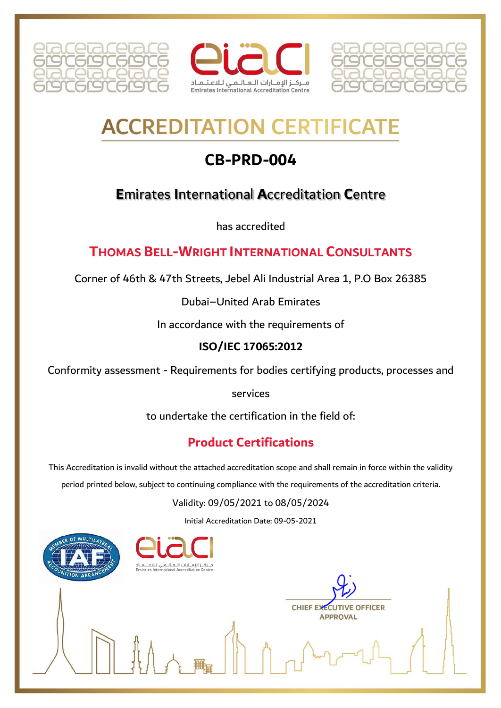





# **ACCREDITATION CERTIFICAT**

# **CB-PRD-004**

## **E**mirates **I**nternational **A**ccreditation **C**entre

has accredited

### **THOMAS BELL-WRIGHT INTERNATIONAL CONSULTANTS**

Corner of 46th & 47th Streets, Jebel Ali Industrial Area 1, P.O Box 26385

Dubai–United Arab Emirates

In accordance with the requirements of

#### **ISO/IEC 17065:2012**

Conformity assessment - Requirements for bodies certifying products, processes and

services

to undertake the certification in the field of:

## **Product Certifications**

This Accreditation is invalid without the attached accreditation scope and shall remain in force within the validity

period printed below, subject to continuing compliance with the requirements of the accreditation criteria.

#### Validity: 09/05/2021 to 08/05/2024

Initial Accreditation Date: 09-05-2021





**CHIEF EXECUTIVE OFFICER APPROVAL**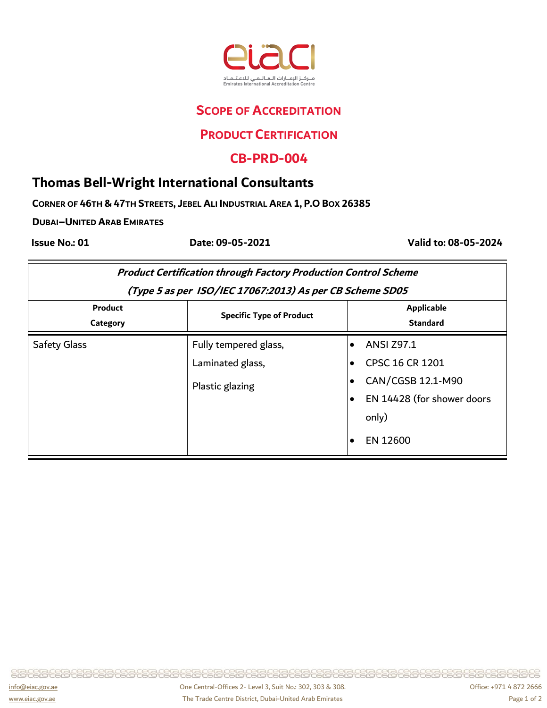

#### **SCOPE OF ACCREDITATION**

#### **PRODUCT CERTIFICATION**

#### **CB-PRD-004**

#### **Thomas Bell-Wright International Consultants**

CORNER OF 46TH & 47TH STREETS, JEBEL ALI INDUSTRIAL AREA 1, P.O BOX 26385

**DUBAI–UNITED ARAB EMIRATES**

 **Issue No.: 01 Date: 09-05-2021 Valid to: 08-05-2024**

| <b>Product Certification through Factory Production Control Scheme</b><br>(Type 5 as per ISO/IEC 17067:2013) As per CB Scheme SD05 |                                                              |                                                                                                                                               |  |
|------------------------------------------------------------------------------------------------------------------------------------|--------------------------------------------------------------|-----------------------------------------------------------------------------------------------------------------------------------------------|--|
|                                                                                                                                    |                                                              |                                                                                                                                               |  |
| <b>Safety Glass</b>                                                                                                                | Fully tempered glass,<br>Laminated glass,<br>Plastic glazing | <b>ANSI Z97.1</b><br><b>CPSC 16 CR 1201</b><br>CAN/CGSB 12.1-M90<br>EN 14428 (for shower doors<br>$\bullet$<br>only)<br>EN 12600<br>$\bullet$ |  |